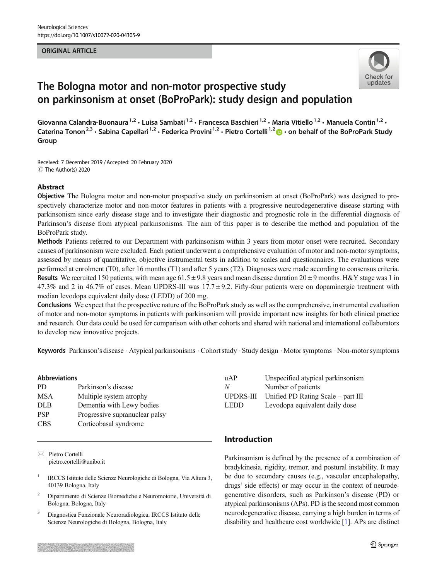#### ORIGINAL ARTICLE



# The Bologna motor and non-motor prospective study on parkinsonism at onset (BoProPark): study design and population

Giovanna Calandra-Buonaura<sup>1,2</sup> · Luisa Sambati<sup>1,2</sup> · Francesca Baschieri<sup>1,2</sup> · Maria Vitiello<sup>1,2</sup> · Manuela Contin<sup>1,2</sup> · Caterina Tonon<sup>2,3</sup> · Sabina Capellari<sup>1,2</sup> · Federica Provini<sup>1,2</sup> · Pietro Cortelli<sup>1,2</sup>  $\bullet$  · on behalf of the BoProPark Study Group

Received: 7 December 2019 /Accepted: 20 February 2020  $\circledcirc$  The Author(s) 2020

## Abstract

Objective The Bologna motor and non-motor prospective study on parkinsonism at onset (BoProPark) was designed to prospectively characterize motor and non-motor features in patients with a progressive neurodegenerative disease starting with parkinsonism since early disease stage and to investigate their diagnostic and prognostic role in the differential diagnosis of Parkinson's disease from atypical parkinsonisms. The aim of this paper is to describe the method and population of the BoProPark study.

Methods Patients referred to our Department with parkinsonism within 3 years from motor onset were recruited. Secondary causes of parkinsonism were excluded. Each patient underwent a comprehensive evaluation of motor and non-motor symptoms, assessed by means of quantitative, objective instrumental tests in addition to scales and questionnaires. The evaluations were performed at enrolment (T0), after 16 months (T1) and after 5 years (T2). Diagnoses were made according to consensus criteria. Results We recruited 150 patients, with mean age  $61.5 \pm 9.8$  years and mean disease duration  $20 \pm 9$  months. H&Y stage was 1 in 47.3% and 2 in 46.7% of cases. Mean UPDRS-III was  $17.7 \pm 9.2$ . Fifty-four patients were on dopaminergic treatment with median levodopa equivalent daily dose (LEDD) of 200 mg.

Conclusions We expect that the prospective nature of the BoProPark study as well as the comprehensive, instrumental evaluation of motor and non-motor symptoms in patients with parkinsonism will provide important new insights for both clinical practice and research. Our data could be used for comparison with other cohorts and shared with national and international collaborators to develop new innovative projects.

Keywords Parkinson's disease . Atypical parkinsonisms . Cohort study . Study design . Motor symptoms . Non-motor symptoms

#### Abbreviations

| Parkinson's disease            |
|--------------------------------|
| Multiple system atrophy        |
| Dementia with Lewy bodies      |
| Progressive supranuclear palsy |
| Corticobasal syndrome          |
|                                |

 $\boxtimes$  Pietro Cortelli [pietro.cortelli@unibo.it](mailto:pietro.cortelli@unibo.it)

- <sup>1</sup> IRCCS Istituto delle Scienze Neurologiche di Bologna, Via Altura 3, 40139 Bologna, Italy
- <sup>2</sup> Dipartimento di Scienze Biomediche e Neuromotorie, Università di Bologna, Bologna, Italy
- <sup>3</sup> Diagnostica Funzionale Neuroradiologica, IRCCS Istituto delle Scienze Neurologiche di Bologna, Bologna, Italy

| uAP              | Unspecified atypical parkinsonism  |
|------------------|------------------------------------|
| N                | Number of patients                 |
| <b>UPDRS-III</b> | Unified PD Rating Scale – part III |
| LEDD.            | Levodopa equivalent daily dose     |

# Introduction

Parkinsonism is defined by the presence of a combination of bradykinesia, rigidity, tremor, and postural instability. It may be due to secondary causes (e.g., vascular encephalopathy, drugs' side effects) or may occur in the context of neurodegenerative disorders, such as Parkinson's disease (PD) or atypical parkinsonisms (APs). PD is the second most common neurodegenerative disease, carrying a high burden in terms of disability and healthcare cost worldwide [\[1](#page-5-0)]. APs are distinct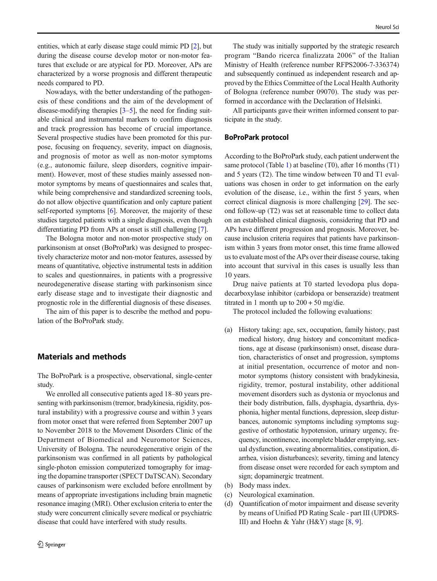entities, which at early disease stage could mimic PD [[2](#page-5-0)], but during the disease course develop motor or non-motor features that exclude or are atypical for PD. Moreover, APs are characterized by a worse prognosis and different therapeutic needs compared to PD.

Nowadays, with the better understanding of the pathogenesis of these conditions and the aim of the development of disease-modifying therapies  $[3-5]$  $[3-5]$  $[3-5]$  $[3-5]$  $[3-5]$ , the need for finding suitable clinical and instrumental markers to confirm diagnosis and track progression has become of crucial importance. Several prospective studies have been promoted for this purpose, focusing on frequency, severity, impact on diagnosis, and prognosis of motor as well as non-motor symptoms (e.g., autonomic failure, sleep disorders, cognitive impairment). However, most of these studies mainly assessed nonmotor symptoms by means of questionnaires and scales that, while being comprehensive and standardized screening tools, do not allow objective quantification and only capture patient self-reported symptoms [[6\]](#page-5-0). Moreover, the majority of these studies targeted patients with a single diagnosis, even though differentiating PD from APs at onset is still challenging [\[7](#page-5-0)].

The Bologna motor and non-motor prospective study on parkinsonism at onset (BoProPark) was designed to prospectively characterize motor and non-motor features, assessed by means of quantitative, objective instrumental tests in addition to scales and questionnaires, in patients with a progressive neurodegenerative disease starting with parkinsonism since early disease stage and to investigate their diagnostic and prognostic role in the differential diagnosis of these diseases.

The aim of this paper is to describe the method and population of the BoProPark study.

# Materials and methods

The BoProPark is a prospective, observational, single-center study.

We enrolled all consecutive patients aged 18–80 years presenting with parkinsonism (tremor, bradykinesia, rigidity, postural instability) with a progressive course and within 3 years from motor onset that were referred from September 2007 up to November 2018 to the Movement Disorders Clinic of the Department of Biomedical and Neuromotor Sciences, University of Bologna. The neurodegenerative origin of the parkinsonism was confirmed in all patients by pathological single-photon emission computerized tomography for imaging the dopamine transporter (SPECT DaTSCAN). Secondary causes of parkinsonism were excluded before enrollment by means of appropriate investigations including brain magnetic resonance imaging (MRI). Other exclusion criteria to enter the study were concurrent clinically severe medical or psychiatric disease that could have interfered with study results.

The study was initially supported by the strategic research program "Bando ricerca finalizzata 2006" of the Italian Ministry of Health (reference number RFPS2006-7-336374) and subsequently continued as independent research and approved by the Ethics Committee of the Local Health Authority of Bologna (reference number 09070). The study was performed in accordance with the Declaration of Helsinki.

All participants gave their written informed consent to participate in the study.

## BoProPark protocol

According to the BoProPark study, each patient underwent the same protocol (Table [1](#page-2-0)) at baseline (T0), after 16 months (T1) and 5 years (T2). The time window between T0 and T1 evaluations was chosen in order to get information on the early evolution of the disease, i.e., within the first 5 years, when correct clinical diagnosis is more challenging [[29\]](#page-5-0). The second follow-up (T2) was set at reasonable time to collect data on an established clinical diagnosis, considering that PD and APs have different progression and prognosis. Moreover, because inclusion criteria requires that patients have parkinsonism within 3 years from motor onset, this time frame allowed us to evaluate most of the APs over their disease course, taking into account that survival in this cases is usually less than 10 years.

Drug naive patients at T0 started levodopa plus dopadecarboxylase inhibitor (carbidopa or benserazide) treatment titrated in 1 month up to  $200 + 50$  mg/die.

The protocol included the following evaluations:

- (a) History taking: age, sex, occupation, family history, past medical history, drug history and concomitant medications, age at disease (parkinsonism) onset, disease duration, characteristics of onset and progression, symptoms at initial presentation, occurrence of motor and nonmotor symptoms (history consistent with bradykinesia, rigidity, tremor, postural instability, other additional movement disorders such as dystonia or myoclonus and their body distribution, falls, dysphagia, dysarthria, dysphonia, higher mental functions, depression, sleep disturbances, autonomic symptoms including symptoms suggestive of orthostatic hypotension, urinary urgency, frequency, incontinence, incomplete bladder emptying, sexual dysfunction, sweating abnormalities, constipation, diarrhea, vision disturbances); severity, timing and latency from disease onset were recorded for each symptom and sign; dopaminergic treatment.
- (b) Body mass index.
- (c) Neurological examination.
- (d) Quantification of motor impairment and disease severity by means of Unified PD Rating Scale - part III (UPDRS-III) and Hoehn & Yahr (H&Y) stage [\[8](#page-5-0), [9](#page-5-0)].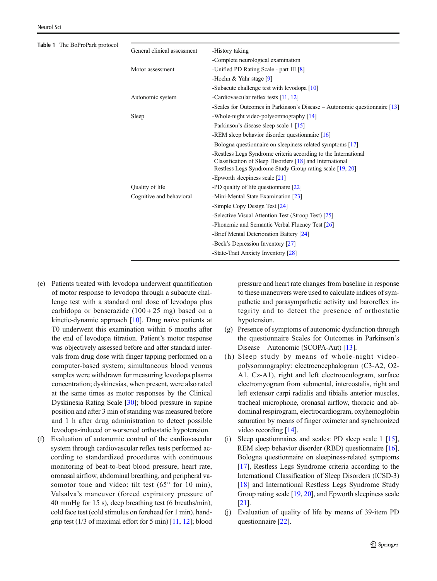<span id="page-2-0"></span>

| Table 1 The BoProPark protocol |                             |                                                                                                                                                                                         |
|--------------------------------|-----------------------------|-----------------------------------------------------------------------------------------------------------------------------------------------------------------------------------------|
|                                | General clinical assessment | -History taking                                                                                                                                                                         |
|                                |                             | -Complete neurological examination                                                                                                                                                      |
|                                | Motor assessment            | -Unified PD Rating Scale - part III [8]                                                                                                                                                 |
|                                |                             | -Hoehn & Yahr stage $[9]$                                                                                                                                                               |
|                                |                             | -Subacute challenge test with levodopa [10]                                                                                                                                             |
|                                | Autonomic system            | -Cardiovascular reflex tests [11, 12]                                                                                                                                                   |
|                                |                             | -Scales for Outcomes in Parkinson's Disease – Autonomic questionnaire [13]                                                                                                              |
|                                | Sleep                       | -Whole-night video-polysom no graphy [14]                                                                                                                                               |
|                                |                             | -Parkinson's disease sleep scale 1 [15]                                                                                                                                                 |
|                                |                             | -REM sleep behavior disorder questionnaire $[16]$                                                                                                                                       |
|                                |                             | -Bologna questionnaire on sleepiness-related symptoms [17]                                                                                                                              |
|                                |                             | -Restless Legs Syndrome criteria according to the International<br>Classification of Sleep Disorders [18] and International<br>Restless Legs Syndrome Study Group rating scale [19, 20] |
|                                |                             | -Epworth sleepiness scale [21]                                                                                                                                                          |
|                                | Quality of life             | -PD quality of life question aire [22]                                                                                                                                                  |
|                                | Cognitive and behavioral    | -Mini-Mental State Examination [23]                                                                                                                                                     |
|                                |                             | -Simple Copy Design Test [24]                                                                                                                                                           |
|                                |                             | -Selective Visual Attention Test (Stroop Test) [25]                                                                                                                                     |
|                                |                             | -Phonemic and Semantic Verbal Fluency Test [26]                                                                                                                                         |
|                                |                             | -Brief Mental Deterioration Battery [24]                                                                                                                                                |
|                                |                             | -Beck's Depression Inventory [27]                                                                                                                                                       |
|                                |                             | -State-Trait Anxiety Inventory [28]                                                                                                                                                     |
|                                |                             |                                                                                                                                                                                         |

- (e) Patients treated with levodopa underwent quantification of motor response to levodopa through a subacute challenge test with a standard oral dose of levodopa plus carbidopa or benserazide  $(100 + 25$  mg) based on a kinetic-dynamic approach [\[10](#page-5-0)]. Drug naïve patients at T0 underwent this examination within 6 months after the end of levodopa titration. Patient's motor response was objectively assessed before and after standard intervals from drug dose with finger tapping performed on a computer-based system; simultaneous blood venous samples were withdrawn for measuring levodopa plasma concentration; dyskinesias, when present, were also rated at the same times as motor responses by the Clinical Dyskinesia Rating Scale [\[30\]](#page-6-0); blood pressure in supine position and after 3 min of standing was measured before and 1 h after drug administration to detect possible levodopa-induced or worsened orthostatic hypotension.
- (f) Evaluation of autonomic control of the cardiovascular system through cardiovascular reflex tests performed according to standardized procedures with continuous monitoring of beat-to-beat blood pressure, heart rate, oronasal airflow, abdominal breathing, and peripheral vasomotor tone and video: tilt test (65° for 10 min), Valsalva's maneuver (forced expiratory pressure of 40 mmHg for 15 s), deep breathing test (6 breaths/min), cold face test (cold stimulus on forehead for 1 min), handgrip test (1/3 of maximal effort for 5 min) [[11](#page-5-0), [12\]](#page-5-0); blood

pressure and heart rate changes from baseline in response to these maneuvers were used to calculate indices of sympathetic and parasympathetic activity and baroreflex integrity and to detect the presence of orthostatic hypotension.

- (g) Presence of symptoms of autonomic dysfunction through the questionnaire Scales for Outcomes in Parkinson's Disease – Autonomic (SCOPA-Aut) [\[13\]](#page-5-0).
- (h) Sleep study by means of whole-night videopolysomnography: electroencephalogram (C3-A2, O2- A1, Cz-A1), right and left electrooculogram, surface electromyogram from submental, intercostalis, right and left extensor carpi radialis and tibialis anterior muscles, tracheal microphone, oronasal airflow, thoracic and abdominal respirogram, electrocardiogram, oxyhemoglobin saturation by means of finger oximeter and synchronized video recording [\[14](#page-5-0)].
- (i) Sleep questionnaires and scales: PD sleep scale 1 [[15\]](#page-5-0), REM sleep behavior disorder (RBD) questionnaire [[16\]](#page-5-0), Bologna questionnaire on sleepiness-related symptoms [\[17\]](#page-5-0), Restless Legs Syndrome criteria according to the International Classification of Sleep Disorders (ICSD-3) [\[18](#page-5-0)] and International Restless Legs Syndrome Study Group rating scale [\[19,](#page-5-0) [20](#page-5-0)], and Epworth sleepiness scale [\[21\]](#page-5-0).
- (j) Evaluation of quality of life by means of 39-item PD questionnaire [[22\]](#page-5-0).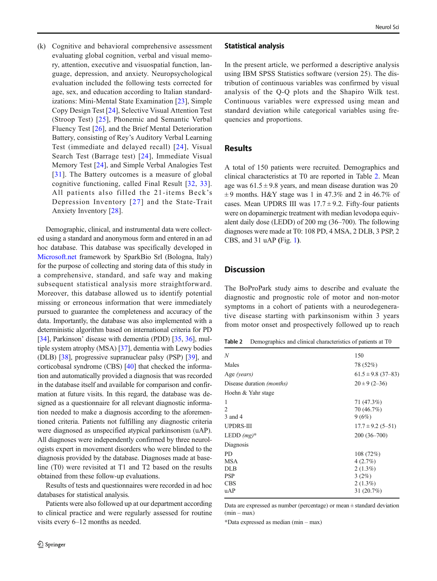(k) Cognitive and behavioral comprehensive assessment evaluating global cognition, verbal and visual memory, attention, executive and visuospatial function, language, depression, and anxiety. Neuropsychological evaluation included the following tests corrected for age, sex, and education according to Italian standardizations: Mini-Mental State Examination [[23](#page-5-0)], Simple Copy Design Test [[24\]](#page-5-0), Selective Visual Attention Test (Stroop Test) [\[25\]](#page-5-0), Phonemic and Semantic Verbal Fluency Test [\[26](#page-5-0)], and the Brief Mental Deterioration Battery, consisting of Rey's Auditory Verbal Learning Test (immediate and delayed recall) [[24\]](#page-5-0), Visual Search Test (Barrage test) [[24\]](#page-5-0), Immediate Visual Memory Test [\[24\]](#page-5-0), and Simple Verbal Analogies Test [\[31\]](#page-6-0). The Battery outcomes is a measure of global cognitive functioning, called Final Result [[32](#page-6-0), [33](#page-6-0)]. All patients also filled the 21-items Beck's Depression Inventory [[27](#page-5-0)] and the State-Trait Anxiety Inventory [[28\]](#page-5-0).

Demographic, clinical, and instrumental data were collected using a standard and anonymous form and entered in an ad hoc database. This database was specifically developed in [Microsoft.net](http://microsoft.net) framework by SparkBio Srl (Bologna, Italy) for the purpose of collecting and storing data of this study in a comprehensive, standard, and safe way and making subsequent statistical analysis more straightforward. Moreover, this database allowed us to identify potential missing or erroneous information that were immediately pursued to guarantee the completeness and accuracy of the data. Importantly, the database was also implemented with a deterministic algorithm based on international criteria for PD [\[34\]](#page-6-0), Parkinson' disease with dementia (PDD) [[35](#page-6-0), [36](#page-6-0)], multiple system atrophy (MSA) [\[37](#page-6-0)], dementia with Lewy bodies (DLB) [[38](#page-6-0)], progressive supranuclear palsy (PSP) [\[39\]](#page-6-0), and corticobasal syndrome (CBS) [[40](#page-6-0)] that checked the information and automatically provided a diagnosis that was recorded in the database itself and available for comparison and confirmation at future visits. In this regard, the database was designed as a questionnaire for all relevant diagnostic information needed to make a diagnosis according to the aforementioned criteria. Patients not fulfilling any diagnostic criteria were diagnosed as unspecified atypical parkinsonism (uAP). All diagnoses were independently confirmed by three neurologists expert in movement disorders who were blinded to the diagnosis provided by the database. Diagnoses made at baseline (T0) were revisited at T1 and T2 based on the results obtained from these follow-up evaluations.

Results of tests and questionnaires were recorded in ad hoc databases for statistical analysis.

Patients were also followed up at our department according to clinical practice and were regularly assessed for routine visits every 6–12 months as needed.

#### Statistical analysis

In the present article, we performed a descriptive analysis using IBM SPSS Statistics software (version 25). The distribution of continuous variables was confirmed by visual analysis of the Q-Q plots and the Shapiro Wilk test. Continuous variables were expressed using mean and standard deviation while categorical variables using frequencies and proportions.

## Results

A total of 150 patients were recruited. Demographics and clinical characteristics at T0 are reported in Table 2. Mean age was  $61.5 \pm 9.8$  years, and mean disease duration was 20  $\pm$  9 months. H&Y stage was 1 in 47.3% and 2 in 46.7% of cases. Mean UPDRS III was  $17.7 \pm 9.2$ . Fifty-four patients were on dopaminergic treatment with median levodopa equivalent daily dose (LEDD) of 200 mg (36–700). The following diagnoses were made at T0: 108 PD, 4 MSA, 2 DLB, 3 PSP, 2 CBS, and 31 uAP (Fig. [1](#page-4-0)).

## **Discussion**

The BoProPark study aims to describe and evaluate the diagnostic and prognostic role of motor and non-motor symptoms in a cohort of patients with a neurodegenerative disease starting with parkinsonism within 3 years from motor onset and prospectively followed up to reach

| Table 2 |  |  |  | Demographics and clinical characteristics of patients at TO |  |  |  |
|---------|--|--|--|-------------------------------------------------------------|--|--|--|
|---------|--|--|--|-------------------------------------------------------------|--|--|--|

| N                                     | 150                                                                      |
|---------------------------------------|--------------------------------------------------------------------------|
| Males                                 | 78 (52%)                                                                 |
| Age (years)                           | $61.5 \pm 9.8$ (37-83)                                                   |
| Disease duration (months)             | $20 \pm 9$ (2-36)                                                        |
| Hoehn & Yahr stage                    |                                                                          |
| 1<br>2<br>3 and 4                     | 71 (47.3%)<br>70 (46.7%)<br>9(6%)                                        |
| <b>UPDRS-III</b>                      | $17.7 \pm 9.2$ (5-51)                                                    |
| LEDD $(mg)^*$                         | $200(36 - 700)$                                                          |
| Diagnosis                             |                                                                          |
| PD<br>MSA<br>DLB<br>PSP<br>CBS<br>uAP | 108(72%)<br>4(2.7%)<br>$2(1.3\%)$<br>3(2%)<br>$2(1.3\%)$<br>31 $(20.7%)$ |
|                                       |                                                                          |

Data are expressed as number (percentage) or mean ± standard deviation  $(min - max)$ 

\*Data expressed as median (min – max)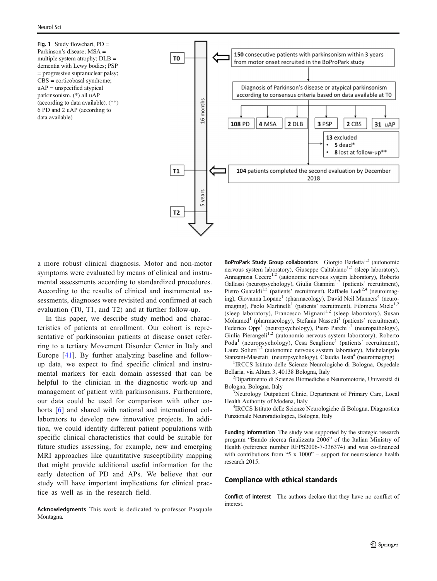<span id="page-4-0"></span>Fig. 1 Study flowchart, PD = Parkinson's disease; MSA = multiple system atrophy;  $DLB =$ dementia with Lewy bodies; PSP = progressive supranuclear palsy; CBS = corticobasal syndrome; uAP = unspecified atypical parkinsonism. (\*) all uAP (according to data available). (\*\*) 6 PD and 2 uAP (according to data available)



a more robust clinical diagnosis. Motor and non-motor symptoms were evaluated by means of clinical and instrumental assessments according to standardized procedures. According to the results of clinical and instrumental assessments, diagnoses were revisited and confirmed at each evaluation (T0, T1, and T2) and at further follow-up.

In this paper, we describe study method and characteristics of patients at enrollment. Our cohort is representative of parkinsonian patients at disease onset referring to a tertiary Movement Disorder Center in Italy and Europe [\[41](#page-6-0)]. By further analyzing baseline and followup data, we expect to find specific clinical and instrumental markers for each domain assessed that can be helpful to the clinician in the diagnostic work-up and management of patient with parkinsonisms. Furthermore, our data could be used for comparison with other co-horts [[6\]](#page-5-0) and shared with national and international collaborators to develop new innovative projects. In addition, we could identify different patient populations with specific clinical characteristics that could be suitable for future studies assessing, for example, new and emerging MRI approaches like quantitative susceptibility mapping that might provide additional useful information for the early detection of PD and APs. We believe that our study will have important implications for clinical practice as well as in the research field.

Acknowledgments This work is dedicated to professor Pasquale Montagna.

BoProPark Study Group collaborators Giorgio Barletta<sup>1,2</sup> (autonomic nervous system laboratory), Giuseppe Caltabiano<sup>1,2</sup> (sleep laboratory), Annagrazia Cecere<sup>1,2</sup> (autonomic nervous system laboratory), Roberto Gallassi (neuropsychology), Giulia Giannini<sup>1,2</sup> (patients' recruitment), Pietro Guaraldi<sup>1,3</sup> (patients' recruitment), Raffaele Lodi<sup>2,4</sup> (neuroimaging), Giovanna Lopane<sup>1</sup> (pharmacology), David Neil Manners<sup>4</sup> (neuroimaging), Paolo Martinelli<sup>1</sup> (patients' recruitment), Filomena Miele<sup>1,2</sup> (sleep laboratory), Francesco Mignani<sup>1,2</sup> (sleep laboratory), Susan Mohamed<sup>1</sup> (pharmacology), Stefania Nassetti<sup>1</sup> (patients' recruitment), Federico Oppi<sup>1</sup> (neuropsychology), Piero Parchi<sup>1,2</sup> (neuropathology), Giulia Pierangeli<sup>1,2</sup> (autonomic nervous system laboratory), Roberto Poda<sup>1</sup> (neuropsychology), Cesa Scaglione<sup>1</sup> (patients' recruitment), Laura Solieri<sup>1,2</sup> (autonomic nervous system laboratory), Michelangelo Stanzani-Maserati<sup>1</sup> (neuropsychology), Claudia Testa<sup>4</sup> (neuroimaging)

<sup>1</sup>IRCCS Istituto delle Scienze Neurologiche di Bologna, Ospedale Bellaria, via Altura 3, 40138 Bologna, Italy <sup>2</sup>

<sup>2</sup>Dipartimento di Scienze Biomediche e Neuromotorie, Università di Bologna, Bologna, Italy <sup>3</sup>

<sup>3</sup>Neurology Outpatient Clinic, Department of Primary Care, Local Health Authority of Modena, Italy <sup>4</sup>

<sup>4</sup>IRCCS Istituto delle Scienze Neurologiche di Bologna, Diagnostica Funzionale Neuroradiologica, Bologna, Italy

Funding information The study was supported by the strategic research program "Bando ricerca finalizzata 2006" of the Italian Ministry of Health (reference number RFPS2006-7-336374) and was co-financed with contributions from "5  $x$  1000" – support for neuroscience health research 2015.

#### Compliance with ethical standards

Conflict of interest The authors declare that they have no conflict of interest.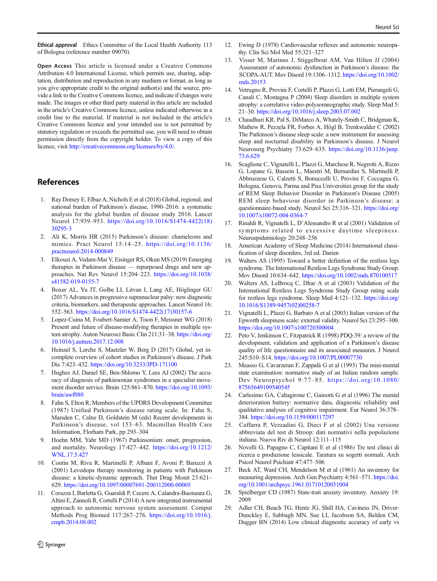<span id="page-5-0"></span>Ethical approval Ethics Committee of the Local Health Authority 113 of Bologna (reference number 09070).

Open Access This article is licensed under a Creative Commons Attribution 4.0 International License, which permits use, sharing, adaptation, distribution and reproduction in any medium or format, as long as you give appropriate credit to the original author(s) and the source, provide a link to the Creative Commons licence, and indicate if changes were made. The images or other third party material in this article are included in the article's Creative Commons licence, unless indicated otherwise in a credit line to the material. If material is not included in the article's Creative Commons licence and your intended use is not permitted by statutory regulation or exceeds the permitted use, you will need to obtain permission directly from the copyright holder. To view a copy of this licence, visit <http://creativecommons.org/licenses/by/4.0/>.

# References

- 1. Ray Dorsey E, Elbaz A, Nichols E et al (2018) Global, regional, and national burden of Parkinson's disease, 1990–2016: a systematic analysis for the global burden of disease study 2016. Lancet Neurol 17:939–953. [https://doi.org/10.1016/S1474-4422\(18\)](https://doi.org/10.1016/S1474-4422(18)30295-3) [30295-3](https://doi.org/10.1016/S1474-4422(18)30295-3)
- 2. Ali K, Morris HR (2015) Parkinson's disease: chameleons and mimics. Pract Neurol 15:14–25. [https://doi.org/10.1136/](https://doi.org/10.1136/practneurol-2014-000849) [practneurol-2014-000849](https://doi.org/10.1136/practneurol-2014-000849)
- 3. Elkouzi A, Vedam-Mai V, Eisinger RS, Okun MS (2019) Emerging therapies in Parkinson disease — repurposed drugs and new approaches. Nat Rev Neurol 15:204–223. [https://doi.org/10.1038/](https://doi.org/10.1038/s41582-019-0155-7) [s41582-019-0155-7](https://doi.org/10.1038/s41582-019-0155-7)
- 4. Boxer AL, Yu JT, Golbe LI, Litvan I, Lang AE, Höglinger GU (2017) Advances in progressive supranuclear palsy: new diagnostic criteria, biomarkers, and therapeutic approaches. Lancet Neurol 16: 552–563. [https://doi.org/10.1016/S1474-4422\(17\)30157-6](https://doi.org/10.1016/S1474-4422(17)30157-6)
- 5. Lopez-Cuina M, Foubert-Samier A, Tison F, Meissner WG (2018) Present and future of disease-modifying therapies in multiple system atrophy. Auton Neurosci Basic Clin 211:31–38. [https://doi.org/](https://doi.org/10.1016/j.autneu.2017.12.008) [10.1016/j.autneu.2017.12.008](https://doi.org/10.1016/j.autneu.2017.12.008)
- 6. Heinzel S, Lerche S, Maetzler W, Berg D (2017) Global, yet incomplete overview of cohort studies in Parkinson's disease. J Park Dis 7:423–432. <https://doi.org/10.3233/JPD-171100>
- 7. Hughes AJ, Daniel SE, Ben-Shlomo Y, Lees AJ (2002) The accuracy of diagnosis of parkinsonian syndromes in a specialist movement disorder service. Brain 125:861–870. [https://doi.org/10.1093/](https://doi.org/10.1093/brain/awf080) [brain/awf080](https://doi.org/10.1093/brain/awf080)
- 8. Fahn S, Elton R, Members of the UPDRS Development Committee (1987) Unified Parkinson's disease rating scale. In: Fahn S, Marsden C, Calne D, Goldstein M (eds) Recent developments in Parkinson's disease, vol 153–63. Macmillan Health Care Information, Florham Park, pp 293–304
- Hoehn MM, Yahr MD (1967) Parkinsonism: onset, progression, and mortality. Neurology 17:427–442. [https://doi.org/10.1212/](http://creativecommons.org/licenses/by/4.0/) [WNL.17.5.427](http://creativecommons.org/licenses/by/4.0/)
- 10. Contin M, Riva R, Martinelli P, Albani F, Avoni P, Baruzzi A (2001) Levodopa therapy monitoring in patients with Parkinson disease: a kinetic-dynamic approach. Ther Drug Monit 23:621– 629. <https://doi.org/10.1097/00007691-200112000-00005>
- 11. Corazza I, Barletta G, Guaraldi P, Cecere A, Calandra-Buonaura G, Altini E, Zannoli R, Cortelli P (2014) A new integrated instrumental approach to autonomic nervous system assessment. Comput Methods Prog Biomed 117:267–276. [https://doi.org/10.1016/j.](https://doi.org/10.1016/j.cmpb.2014.08.002) [cmpb.2014.08.002](https://doi.org/10.1016/j.cmpb.2014.08.002)
- 12. Ewing D (1978) Cardiovascular reflexes and autonomic neuropathy. Clin Sci Mol Med 55:321–327
- 13. Visser M, Marinus J, Stiggelbout AM, Van Hilten JJ (2004) Assessment of autonomic dysfunction in Parkinson's disease: the SCOPA-AUT. Mov Disord 19:1306–1312. [https://doi.org/10.1002/](https://doi.org/10.1002/mds.20153) [mds.20153](https://doi.org/10.1002/mds.20153)
- 14. Vetrugno R, Provini F, Cortelli P, Plazzi G, Lotti EM, Pierangeli G, Canali C, Montagna P (2004) Sleep disorders in multiple system atrophy: a correlative video-polysomnographic study. Sleep Med 5: 21–30. <https://doi.org/10.1016/j.sleep.2003.07.002>
- 15. Chaudhuri KR, Pal S, DiMarco A, Whately-Smith C, Bridgman K, Mathew R, Pezzela FR, Forbes A, Högl B, Trenkwalder C (2002) The Parkinson's disease sleep scale: a new instrument for assessing sleep and nocturnal disability in Parkinson's disease. J Neurol Neurosurg Psychiatry 73:629–635. [https://doi.org/10.1136/jnnp.](https://doi.org/10.1136/jnnp.73.6.629) [73.6.629](https://doi.org/10.1136/jnnp.73.6.629)
- 16. Scaglione C, Vignatelli L, Plazzi G, Marchese R, Negrotti A, Rizzo G, Lopane G, Bassein L, Maestri M, Bernardini S, Martinelli P, Abbruzzese G, Calzetti S, Bonuccelli U, Provini F, Coccagna G, Bologna, Genova, Parma and Pisa Universities group for the study of REM Sleep Behavior Disorder in Parkinson's Disease (2005) REM sleep behaviour disorder in Parkinson's disease: a questionnaire-based study. Neurol Sci 25:316–321. [https://doi.org/](https://doi.org/10.1007/s10072-004-0364-7) [10.1007/s10072-004-0364-7](https://doi.org/10.1007/s10072-004-0364-7)
- 17. Rinaldi R, Vignatelli L, D'Alessandro R et al (2001) Validation of symptoms related to excessive daytime sleepiness. Neuroepidemiology 20:248–256
- 18. American Academy of Sleep Medicine (2014) International classification of sleep disorders, 3rd ed. Darien
- Walters AS (1995) Toward a better definition of the restless legs syndrome. The International Restless Legs Syndrome Study Group. Mov Disord 10:634–642. <https://doi.org/10.1002/mds.870100517>
- 20. Walters AS, LeBrocq C, Dhar A et al (2003) Validation of the International Restless Legs Syndrome Study Group rating scale for restless legs syndrome. Sleep Med 4:121–132. [https://doi.org/](https://doi.org/10.1016/S1389-9457(02)00258-7) [10.1016/S1389-9457\(02\)00258-7](https://doi.org/10.1016/S1389-9457(02)00258-7)
- 21. Vignatelli L, Plazzi G, Barbato A et al (2003) Italian version of the Epworth sleepiness scale: external validity. Neurol Sci 23:295–300. <https://doi.org/10.1007/s100720300004>
- 22. Peto V, Jenkinson C, Fitzpatrick R (1998) PDQ-39: a review of the development, validation and application of a Parkinson's disease quality of life questionnaire and its associated measures. J Neurol 245:S10–S14. <https://doi.org/10.1007/PL00007730>
- 23. Measso G, Cavarzeran F, Zappalà G et al (1993) The mini-mental state examination: normative study of an Italian random sample. Dev Neuropsychol 9:77–85. [https://doi.org/10.1080/](https://doi.org/10.1080/87565649109540545) [87565649109540545](https://doi.org/10.1080/87565649109540545)
- 24. Carlesimo GA, Caltagirone C, Gainotti G et al (1996) The mental deterioration battery: normative data, diagnostic reliability and qualitative analyses of cognitive impairment. Eur Neurol 36:378– 384. <https://doi.org/10.1159/000117297>
- 25. Caffarra P, Vezzadini G, Dieci F et al (2002) Una versione abbreviata del test di Stroop: dati normativi nella popolazione italiana. Nuova Riv di Neurol 12:111–115
- 26. Novelli G, Papagno C, Capitani E et al (1986) Tre test clinici di ricerca e produzione lessicale. Taratura su sogetti normali. Arch Psicol Neurol Psichiatr 47:477–506
- 27. Beck AT, Ward CH, Mendelson M et al (1961) An inventory for measuring depression. Arch Gen Psychiatry 4:561–571. [https://doi.](https://doi.org/10.1001/archpsyc.1961.01710120031004) [org/10.1001/archpsyc.1961.01710120031004](https://doi.org/10.1001/archpsyc.1961.01710120031004)
- 28. Spielberger CD (1987) State-trait anxiety inventory. Anxiety 19: 2009
- 29. Adler CH, Beach TG, Hentz JG, Shill HA, Caviness JN, Driver-Dunckley E, Sabbagh MN, Sue LI, Jacobson SA, Belden CM, Dugger BN (2014) Low clinical diagnostic accuracy of early vs